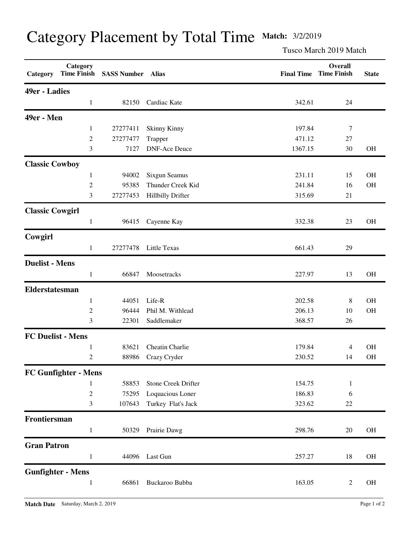| Category               | Category<br><b>Time Finish</b> | <b>SASS Number</b> | Alias                      | <b>Final Time</b> | Overall<br><b>Time Finish</b> | <b>State</b> |
|------------------------|--------------------------------|--------------------|----------------------------|-------------------|-------------------------------|--------------|
| <b>49er - Ladies</b>   |                                |                    |                            |                   |                               |              |
|                        | $\mathbf{1}$                   | 82150              | Cardiac Kate               | 342.61            | 24                            |              |
| 49er - Men             |                                |                    |                            |                   |                               |              |
|                        | 1                              | 27277411           | Skinny Kinny               | 197.84            | 7                             |              |
|                        | $\overline{c}$                 | 27277477           | Trapper                    | 471.12            | $27\,$                        |              |
|                        | 3                              | 7127               | <b>DNF-Ace Deuce</b>       | 1367.15           | 30                            | <b>OH</b>    |
| <b>Classic Cowboy</b>  |                                |                    |                            |                   |                               |              |
|                        | $\mathbf{1}$                   | 94002              | Sixgun Seamus              | 231.11            | 15                            | <b>OH</b>    |
|                        | $\overline{c}$                 | 95385              | Thunder Creek Kid          | 241.84            | 16                            | OH           |
|                        | 3                              | 27277453           | <b>Hillbilly Drifter</b>   | 315.69            | 21                            |              |
| <b>Classic Cowgirl</b> |                                |                    |                            |                   |                               |              |
|                        | $\mathbf{1}$                   | 96415              | Cayenne Kay                | 332.38            | 23                            | <b>OH</b>    |
| Cowgirl                |                                |                    |                            |                   |                               |              |
|                        | $\mathbf{1}$                   | 27277478           | Little Texas               | 661.43            | 29                            |              |
| <b>Duelist - Mens</b>  |                                |                    |                            |                   |                               |              |
|                        | $\mathbf{1}$                   | 66847              | Moosetracks                | 227.97            | 13                            | <b>OH</b>    |
| <b>Elderstatesman</b>  |                                |                    |                            |                   |                               |              |
|                        | $\mathbf{1}$                   | 44051              | Life-R                     | 202.58            | $8\,$                         | OH           |
|                        | $\overline{c}$                 | 96444              | Phil M. Withlead           | 206.13            | 10                            | OH           |
|                        | 3                              | 22301              | Saddlemaker                | 368.57            | 26                            |              |
|                        | <b>FC Duelist - Mens</b>       |                    |                            |                   |                               |              |
|                        | 1                              | 83621              | Cheatin Charlie            | 179.84            | 4                             | <b>OH</b>    |
|                        | $\overline{c}$                 | 88986              | Crazy Cryder               | 230.52            | 14                            | <b>OH</b>    |
|                        | <b>FC Gunfighter - Mens</b>    |                    |                            |                   |                               |              |
|                        | 1                              | 58853              | <b>Stone Creek Drifter</b> | 154.75            | $\mathbf{1}$                  |              |
|                        | $\mathfrak 2$                  | 75295              | Loquacious Loner           | 186.83            | 6                             |              |
|                        | 3                              | 107643             | Turkey Flat's Jack         | 323.62            | $22\,$                        |              |
| Frontiersman           |                                |                    |                            |                   |                               |              |
|                        | $\mathbf{1}$                   | 50329              | Prairie Dawg               | 298.76            | 20                            | OH           |
| <b>Gran Patron</b>     |                                |                    |                            |                   |                               |              |
|                        | $\mathbf{1}$                   | 44096              | Last Gun                   | 257.27            | 18                            | OH           |
|                        | <b>Gunfighter - Mens</b>       |                    |                            |                   |                               |              |
|                        | 1                              | 66861              | Buckaroo Bubba             | 163.05            | $\overline{c}$                | OH           |

## Category Placement by Total Time **Match:** 3/2/2019

Tusco March 2019 Match